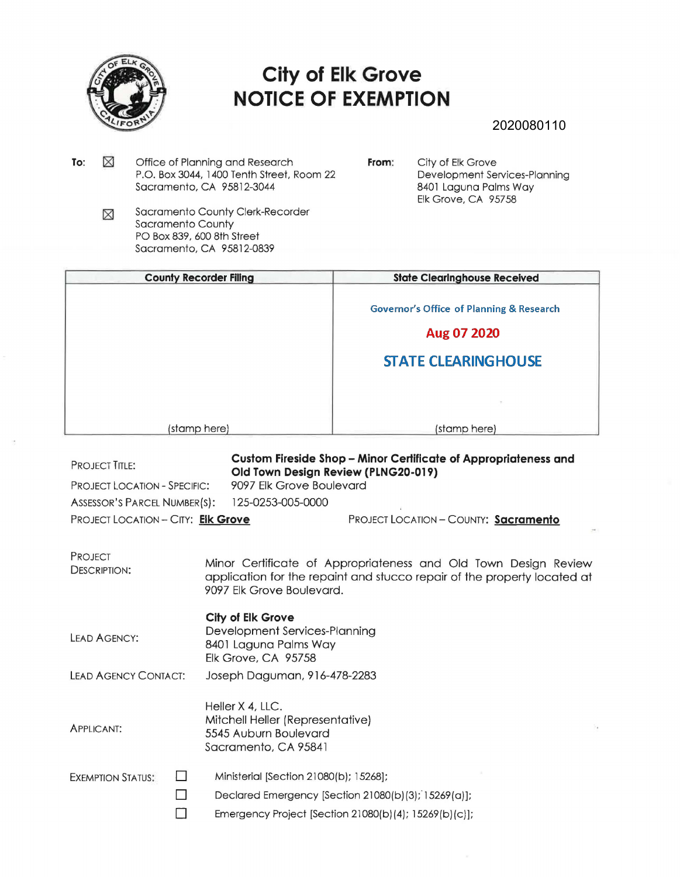

## **City of Elk Grove NOTICE OF EXEMPTION**

## 2020080110

- To:  $\boxtimes$ Office of Planning and Research P.O. Box 3044, 1400 Tenth Street, Room 22 Sacramento, CA 95812-3044
- **From:** City of Elk Grove Development Services-Planning 8401 Laguna Palms Way Elk Grove, CA 95758
- Sacramento County Clerk-Recorder ⊠ Sacramento County PO Box 839, 600 8th Street Sacramento, CA 95812-0839

| <b>County Recorder Filing</b> | <b>State ClearInghouse Received</b>                 |
|-------------------------------|-----------------------------------------------------|
|                               | <b>Governor's Office of Planning &amp; Research</b> |
|                               | Aug 07 2020                                         |
|                               | <b>STATE CLEARINGHOUSE</b>                          |
|                               |                                                     |
| (stamp here)                  | (stamp here)                                        |

PROJECT TITLE: **Custom Fireside Shop - Minor Certificate of Appropriateness and Old Town Design Review (PLNG20-019)**  PROJECT LOCATION - SPECIFIC: 9097 Elk Grove Boulevard ASSESSOR'S PARCEL NUMBER(S): 125-0253-005-0000 PROJECT LOCATION- CITY: **Elk Grove** PROJECT LOCATION - COUNTY: **Sacramento**  PROJECT DESCRIPTION: LEAD AGENCY: LEAD AGENCY CONTACT: APPLICANT: EXEMPTION STATUS: □ □ Minor Certificate of Appropriateness and Old Town Design Review application for the repaint and stucco repair of the property located at 9097 Elk Grove Boulevard. **City of Elk Grove**  Development Services-Planning 8401 Laguna Palms Way Elk Grove, CA 95758 Joseph Daguman, 916-478-2283 Heller X 4, LLC. Mitchell Heller (Representative) 5545 Auburn Boulevard Sacramento, CA 95841 Ministerial [Section 21080(b); 15268]; Declared Emergency [Section 21080(b)(3); 15269(a)]; Emergency Project [Section 21080(b)(4); 15269(b)(c)];